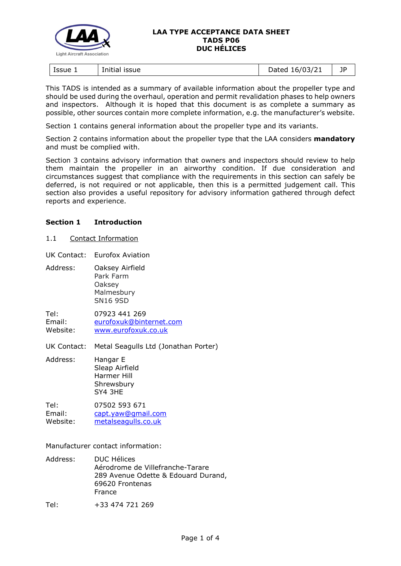

#### **LAA TYPE ACCEPTANCE DATA SHEET TADS P06 DUC HÉLICES**

| Issue 1<br>issue<br>Initial | 16/03/21<br>)ated<br>pucco | ПD |
|-----------------------------|----------------------------|----|
|-----------------------------|----------------------------|----|

This TADS is intended as a summary of available information about the propeller type and should be used during the overhaul, operation and permit revalidation phases to help owners and inspectors. Although it is hoped that this document is as complete a summary as possible, other sources contain more complete information, e.g. the manufacturer's website.

Section 1 contains general information about the propeller type and its variants.

Section 2 contains information about the propeller type that the LAA considers **mandatory** and must be complied with.

Section 3 contains advisory information that owners and inspectors should review to help them maintain the propeller in an airworthy condition. If due consideration and circumstances suggest that compliance with the requirements in this section can safely be deferred, is not required or not applicable, then this is a permitted judgement call. This section also provides a useful repository for advisory information gathered through defect reports and experience.

## **Section 1 Introduction**

1.1 Contact Information

UK Contact: Eurofox Aviation

Address: Oaksey Airfield Park Farm Oaksey Malmesbury SN16 9SD

Tel: 07923 441 269 Email: [eurofoxuk@binternet.com](mailto:eurofoxuk@binternet.com) Website: [www.eurofoxuk.co.uk](http://www.eurofoxuk.co.uk/)

UK Contact: Metal Seagulls Ltd (Jonathan Porter)

Address: Hangar E Sleap Airfield Harmer Hill **Shrewsbury** SY4 3HE

Tel: 07502 593 671 Email: [capt.yaw@gmail.com](mailto:capt.yaw@gmail.com) Website: [metalseagulls.co.uk](http://metalseagulls.co.uk/)

Manufacturer contact information:

Address: DUC Hélices Aérodrome de Villefranche-Tarare 289 Avenue Odette & Edouard Durand, 69620 Frontenas France

Tel: +33 474 721 269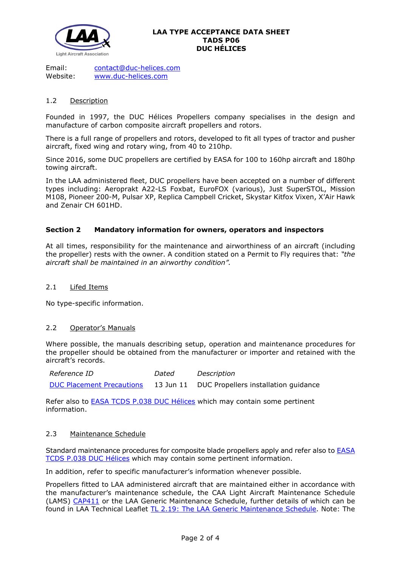

Email: [contact@duc-helices.com](mailto:contact@duc-helices.com) Website: [www.duc-helices.com](http://www.duc-helices.com/index.php)

### 1.2 Description

Founded in 1997, the DUC Hélices Propellers company specialises in the design and manufacture of carbon composite aircraft propellers and rotors.

There is a full range of propellers and rotors, developed to fit all types of tractor and pusher aircraft, fixed wing and rotary wing, from 40 to 210hp.

Since 2016, some DUC propellers are certified by EASA for 100 to 160hp aircraft and 180hp towing aircraft.

In the LAA administered fleet, DUC propellers have been accepted on a number of different types including: Aeroprakt A22-LS Foxbat, EuroFOX (various), Just SuperSTOL, Mission M108, Pioneer 200-M, Pulsar XP, Replica Campbell Cricket, Skystar Kitfox Vixen, X'Air Hawk and Zenair CH 601HD.

## **Section 2 Mandatory information for owners, operators and inspectors**

At all times, responsibility for the maintenance and airworthiness of an aircraft (including the propeller) rests with the owner. A condition stated on a Permit to Fly requires that: *"the aircraft shall be maintained in an airworthy condition".* 

#### 2.1 Lifed Items

No type-specific information.

#### 2.2 Operator's Manuals

Where possible, the manuals describing setup, operation and maintenance procedures for the propeller should be obtained from the manufacturer or importer and retained with the aircraft's records.

*Reference ID Dated Description* [DUC Placement Precautions](http://www.lightaircraftassociation.co.uk/engineering/TADs/P06/dh_ph_be_02_b-duc-propellers-placement-precautions_21.pdf) 13 Jun 11 DUC Propellers installation guidance

Refer also to [EASA TCDS P.038 DUC Hélices](http://www.lightaircraftassociation.co.uk/engineering/TADs/P06/TCDS%20P.038%20-%20Flash%20-%20Is03.pdf) which may contain some pertinent information.

#### 2.3 Maintenance Schedule

Standard maintenance procedures for composite blade propellers apply and refer also to [EASA](http://www.lightaircraftassociation.co.uk/engineering/TADs/P06/TCDS%20P.038%20-%20Flash%20-%20Is03.pdf)  [TCDS P.038 DUC Hélices](http://www.lightaircraftassociation.co.uk/engineering/TADs/P06/TCDS%20P.038%20-%20Flash%20-%20Is03.pdf) which may contain some pertinent information.

In addition, refer to specific manufacturer's information whenever possible.

Propellers fitted to LAA administered aircraft that are maintained either in accordance with the manufacturer's maintenance schedule, the CAA Light Aircraft Maintenance Schedule (LAMS) [CAP411](http://www.caa.co.uk/CAP411) or the LAA Generic Maintenance Schedule, further details of which can be found in LAA Technical Leaflet [TL 2.19: The LAA Generic Maintenance Schedule.](http://www.lightaircraftassociation.co.uk/engineering/TechnicalLeaflets/Operating%20An%20Aircraft/TL%202.19%20The%20LAA%20Generic%20Maintenance%20Schedule.pdf) Note: The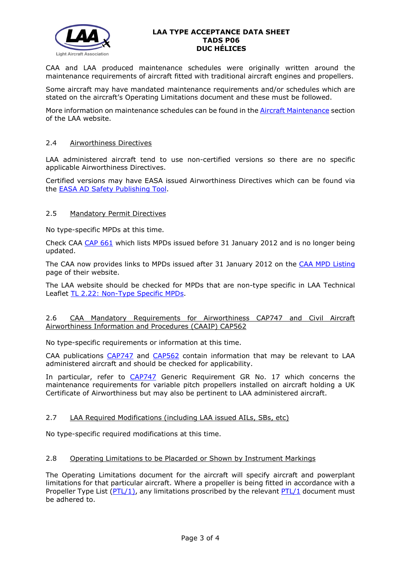

### **LAA TYPE ACCEPTANCE DATA SHEET TADS P06 DUC HÉLICES**

CAA and LAA produced maintenance schedules were originally written around the maintenance requirements of aircraft fitted with traditional aircraft engines and propellers.

Some aircraft may have mandated maintenance requirements and/or schedules which are stated on the aircraft's Operating Limitations document and these must be followed.

More information on maintenance schedules can be found in the [Aircraft Maintenance](http://www.lightaircraftassociation.co.uk/engineering/Maintenance/Aircraft_Maintenance.html) section of the LAA website.

#### 2.4 Airworthiness Directives

LAA administered aircraft tend to use non-certified versions so there are no specific applicable Airworthiness Directives.

Certified versions may have EASA issued Airworthiness Directives which can be found via the [EASA AD Safety Publishing Tool.](https://ad.easa.europa.eu/search/advanced)

#### 2.5 Mandatory Permit Directives

No type-specific MPDs at this time.

Check CAA [CAP 661](http://www.caa.co.uk/cap661) which lists MPDs issued before 31 January 2012 and is no longer being updated.

The CAA now provides links to MPDs issued after 31 January 2012 on the [CAA MPD Listing](http://publicapps.caa.co.uk/modalapplication.aspx?appid=11&mode=list&type=sercat&id=55) page of their website.

The LAA website should be checked for MPDs that are non-type specific in LAA Technical Leaflet [TL 2.22: Non-Type Specific MPDs.](http://www.lightaircraftassociation.co.uk/engineering/TechnicalLeaflets/Operating%20An%20Aircraft/TL%202.22%20non-type%20specific%20MPDs.pdf)

#### 2.6 CAA Mandatory Requirements for Airworthiness CAP747 and Civil Aircraft Airworthiness Information and Procedures (CAAIP) CAP562

No type-specific requirements or information at this time.

CAA publications [CAP747](http://www.caa.co.uk/CAP747) and [CAP562](http://www.caa.co.uk/CAP562) contain information that may be relevant to LAA administered aircraft and should be checked for applicability.

In particular, refer to [CAP747](http://www.caa.co.uk/CAP747) Generic Requirement GR No. 17 which concerns the maintenance requirements for variable pitch propellers installed on aircraft holding a UK Certificate of Airworthiness but may also be pertinent to LAA administered aircraft.

## 2.7 LAA Required Modifications (including LAA issued AILs, SBs, etc)

No type-specific required modifications at this time.

## 2.8 Operating Limitations to be Placarded or Shown by Instrument Markings

The Operating Limitations document for the aircraft will specify aircraft and powerplant limitations for that particular aircraft. Where a propeller is being fitted in accordance with a Propeller Type List ( $PTL/1$ ), any limitations proscribed by the relevant  $PTL/1$  document must be adhered to.